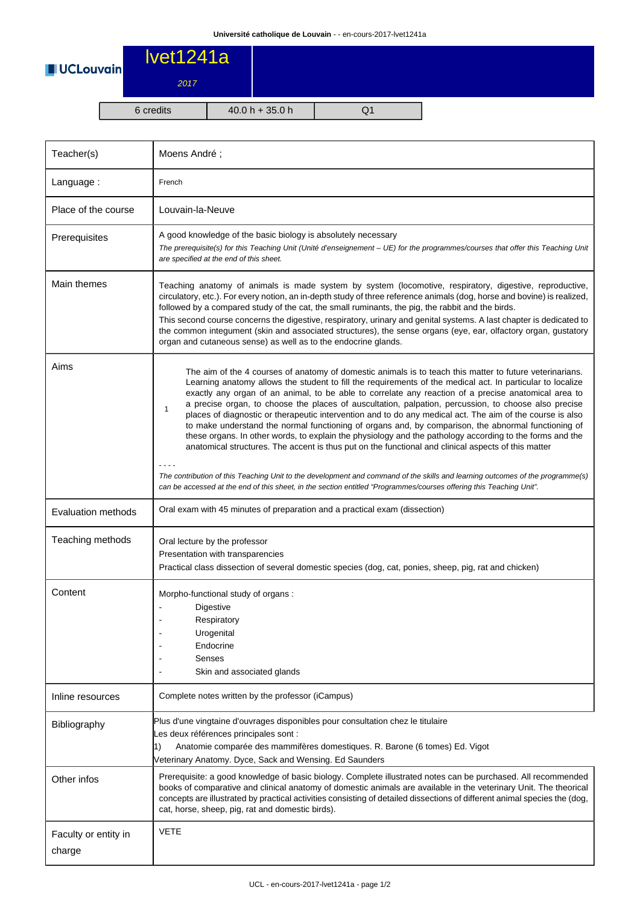

| Teacher(s)                     | Moens André;                                                                                                                                                                                                                                                                                                                                                                                                                                                                                                                                                                                                                                                                                                                                                                                                                                                                                                                                                                                                                                                                                                                               |  |  |  |  |
|--------------------------------|--------------------------------------------------------------------------------------------------------------------------------------------------------------------------------------------------------------------------------------------------------------------------------------------------------------------------------------------------------------------------------------------------------------------------------------------------------------------------------------------------------------------------------------------------------------------------------------------------------------------------------------------------------------------------------------------------------------------------------------------------------------------------------------------------------------------------------------------------------------------------------------------------------------------------------------------------------------------------------------------------------------------------------------------------------------------------------------------------------------------------------------------|--|--|--|--|
| Language:                      | French                                                                                                                                                                                                                                                                                                                                                                                                                                                                                                                                                                                                                                                                                                                                                                                                                                                                                                                                                                                                                                                                                                                                     |  |  |  |  |
| Place of the course            | Louvain-la-Neuve                                                                                                                                                                                                                                                                                                                                                                                                                                                                                                                                                                                                                                                                                                                                                                                                                                                                                                                                                                                                                                                                                                                           |  |  |  |  |
| Prerequisites                  | A good knowledge of the basic biology is absolutely necessary<br>The prerequisite(s) for this Teaching Unit (Unité d'enseignement - UE) for the programmes/courses that offer this Teaching Unit<br>are specified at the end of this sheet.                                                                                                                                                                                                                                                                                                                                                                                                                                                                                                                                                                                                                                                                                                                                                                                                                                                                                                |  |  |  |  |
| Main themes                    | Teaching anatomy of animals is made system by system (locomotive, respiratory, digestive, reproductive,<br>circulatory, etc.). For every notion, an in-depth study of three reference animals (dog, horse and bovine) is realized,<br>followed by a compared study of the cat, the small ruminants, the pig, the rabbit and the birds.<br>This second course concerns the digestive, respiratory, urinary and genital systems. A last chapter is dedicated to<br>the common integument (skin and associated structures), the sense organs (eye, ear, olfactory organ, gustatory<br>organ and cutaneous sense) as well as to the endocrine glands.                                                                                                                                                                                                                                                                                                                                                                                                                                                                                          |  |  |  |  |
| Aims                           | The aim of the 4 courses of anatomy of domestic animals is to teach this matter to future veterinarians.<br>Learning anatomy allows the student to fill the requirements of the medical act. In particular to localize<br>exactly any organ of an animal, to be able to correlate any reaction of a precise anatomical area to<br>a precise organ, to choose the places of auscultation, palpation, percussion, to choose also precise<br>1<br>places of diagnostic or therapeutic intervention and to do any medical act. The aim of the course is also<br>to make understand the normal functioning of organs and, by comparison, the abnormal functioning of<br>these organs. In other words, to explain the physiology and the pathology according to the forms and the<br>anatomical structures. The accent is thus put on the functional and clinical aspects of this matter<br>The contribution of this Teaching Unit to the development and command of the skills and learning outcomes of the programme(s)<br>can be accessed at the end of this sheet, in the section entitled "Programmes/courses offering this Teaching Unit". |  |  |  |  |
| <b>Evaluation methods</b>      | Oral exam with 45 minutes of preparation and a practical exam (dissection)                                                                                                                                                                                                                                                                                                                                                                                                                                                                                                                                                                                                                                                                                                                                                                                                                                                                                                                                                                                                                                                                 |  |  |  |  |
| Teaching methods               | Oral lecture by the professor<br>Presentation with transparencies<br>Practical class dissection of several domestic species (dog, cat, ponies, sheep, pig, rat and chicken)                                                                                                                                                                                                                                                                                                                                                                                                                                                                                                                                                                                                                                                                                                                                                                                                                                                                                                                                                                |  |  |  |  |
| Content                        | Morpho-functional study of organs:<br>Digestive<br>Respiratory<br>Urogenital<br>Endocrine<br>Senses<br>Skin and associated glands                                                                                                                                                                                                                                                                                                                                                                                                                                                                                                                                                                                                                                                                                                                                                                                                                                                                                                                                                                                                          |  |  |  |  |
| Inline resources               | Complete notes written by the professor (iCampus)                                                                                                                                                                                                                                                                                                                                                                                                                                                                                                                                                                                                                                                                                                                                                                                                                                                                                                                                                                                                                                                                                          |  |  |  |  |
| Bibliography                   | Plus d'une vingtaine d'ouvrages disponibles pour consultation chez le titulaire<br>Les deux références principales sont :<br>Anatomie comparée des mammifères domestiques. R. Barone (6 tomes) Ed. Vigot<br>1)<br>Veterinary Anatomy. Dyce, Sack and Wensing. Ed Saunders                                                                                                                                                                                                                                                                                                                                                                                                                                                                                                                                                                                                                                                                                                                                                                                                                                                                  |  |  |  |  |
| Other infos                    | Prerequisite: a good knowledge of basic biology. Complete illustrated notes can be purchased. All recommended<br>books of comparative and clinical anatomy of domestic animals are available in the veterinary Unit. The theorical<br>concepts are illustrated by practical activities consisting of detailed dissections of different animal species the (dog,<br>cat, horse, sheep, pig, rat and domestic birds).                                                                                                                                                                                                                                                                                                                                                                                                                                                                                                                                                                                                                                                                                                                        |  |  |  |  |
| Faculty or entity in<br>charge | VETE                                                                                                                                                                                                                                                                                                                                                                                                                                                                                                                                                                                                                                                                                                                                                                                                                                                                                                                                                                                                                                                                                                                                       |  |  |  |  |